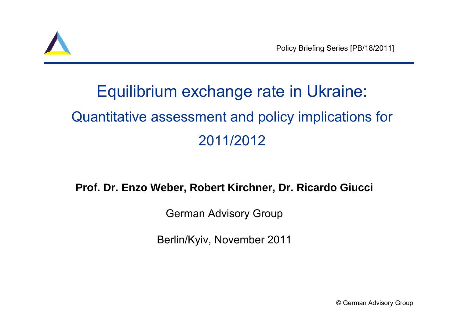

# Equilibrium exchange rate in Ukraine: Quantitative assessment and policy implications for 2011/2012

#### **Prof. Dr. Enzo Weber, Robert Kirchner, Dr. Ricardo Giucci**

German Advisory Group

Berlin/Kyiv, November 2011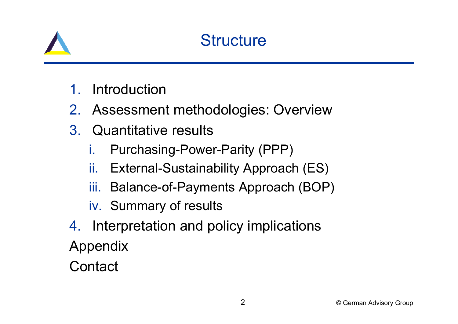

#### **Structure**

- 1.Introduction
- 2. Assessment methodologies: Overview
- 3. Quantitative results
	- i.Purchasing-Power-Parity (PPP)
	- ii.External-Sustainability Approach (ES)
	- iii. Balance-of-Payments Approach (BOP)
	- iv. Summary of results
- 4. Interpretation and policy implications Appendix
- **Contact**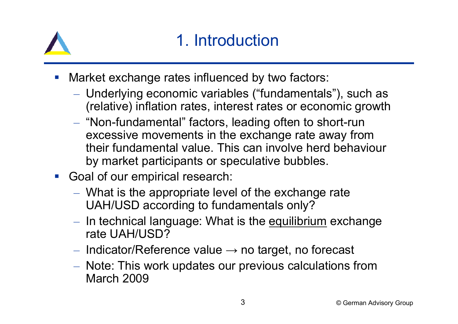

### 1. Introduction

- Market exchange rates influenced by two factors:
	- – Underlying economic variables ("fundamentals"), such as (relative) inflation rates, interest rates or economic growth
	- – $-$  "Non-fundamental" factors, leading often to short-run excessive movements in the exchange rate away from their fundamental value. This can involve herd behaviour by market participants or speculative bubbles.
- **Goal of our empirical research:** 
	- – What is the appropriate level of the exchange rate UAH/USD according to fundamentals only?
	- <u>– Listo Listo kaj kaj po</u> – In technical language: What is the <u>equilibrium</u> exchange rate UAH/USD?
	- $-$  Indicator/Reference value  $\rightarrow$  no target, no forecast
	- <u>– Listo Listo kaj kaj po</u> – Note: This work updates our previous calculations from March 2009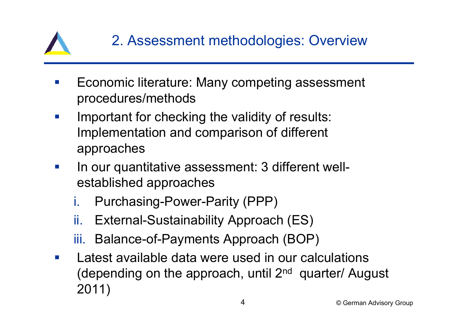

- Economic literature: Many competing assessment procedures/methods
- $\mathcal{L}^{\text{max}}$  Important for checking the validity of results: Implementation and comparison of different approaches
- $\mathcal{L}^{\text{max}}$  In our quantitative assessment: 3 different wellestablished approaches
	- i.Purchasing-Power-Parity (PPP)
	- ii.External-Sustainability Approach (ES)
	- iii. Balance-of-Payments Approach (BOP)
- **T**  Latest available data were used in our calculations (depending on the approach, until 2nd quarter/ August 2011)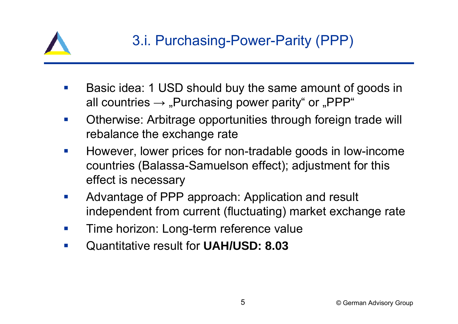

- Basic idea: 1 USD should buy the same amount of goods in all countries  $\rightarrow$  "Purchasing power parity" or "PPP"
- $\mathcal{L}_{\mathcal{A}}$  Otherwise: Arbitrage opportunities through foreign trade will rebalance the exchange rate
- $\mathcal{L}_{\mathcal{A}}$  However, lower prices for non-tradable goods in low-income countries (Balassa-Samuelson effect); adjustment for this effect is necessary
- $\mathcal{L}_{\mathcal{A}}$  Advantage of PPP approach: Application and result independent from current (fluctuating) market exchange rate
- $\mathcal{L}_{\mathcal{A}}$ Time horizon: Long-term reference value
- $\mathcal{C}^{\mathcal{A}}$ Quantitative result for **UAH/USD: 8.03**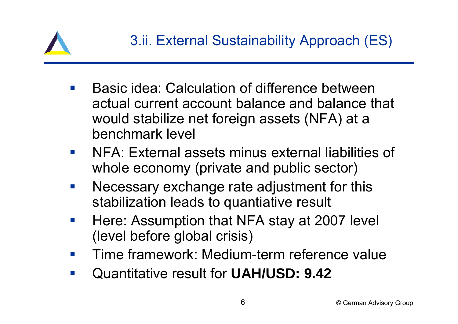

- Basic idea: Calculation of difference between actual current account balance and balance that would stabilize net foreign assets (NFA) at a benchmark level
- $\mathcal{L}_{\text{max}}$  NFA: External assets minus external liabilities of whole economy (private and public sector)
- $\mathcal{L}^{\mathcal{L}}$  Necessary exchange rate adjustment for this stabilization leads to quantiative result
- $\mathcal{L}_{\mathcal{A}}$  Here: Assumption that NFA stay at 2007 level (level before global crisis)
- $\mathcal{L}^{\mathcal{L}}$ Time framework: Medium-term reference value
- $\mathcal{L}_{\mathcal{A}}$ Quantitative result for **UAH/USD: 9.42**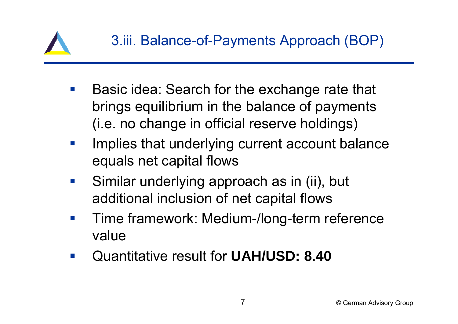

- $\mathcal{L}^{\text{max}}$  Basic idea: Search for the exchange rate that brings equilibrium in the balance of payments (i.e. no change in official reserve holdings)
- $\mathcal{L}_{\mathcal{A}}$  Implies that underlying current account balance equals net capital flows
- $\mathcal{L}_{\mathcal{A}}$  Similar underlying approach as in (ii), but additional inclusion of net capital flows
- $\mathcal{L}_{\mathcal{A}}$  Time framework: Medium-/long-term reference value
- $\mathcal{L}_{\mathcal{A}}$ Quantitative result for **UAH/USD: 8.40**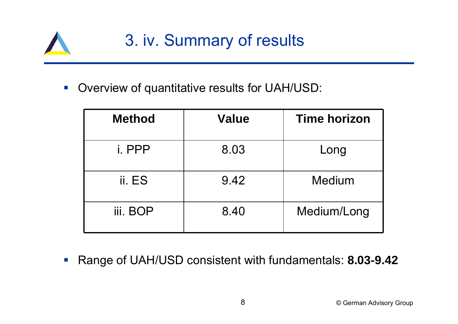

 $\left\vert \psi_{\pm}\right\rangle$ Overview of quantitative results for UAH/USD:

| <b>Method</b> | <b>Value</b> | <b>Time horizon</b> |
|---------------|--------------|---------------------|
| i. PPP        | 8.03         | Long                |
| ii. ES        | 9.42         | Medium              |
| iii. BOP      | 8.40         | Medium/Long         |

 $\mathbb{R}^n$ Range of UAH/USD consistent with fundamentals: **8.03-9.42**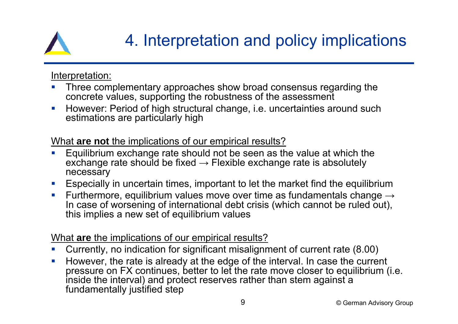

## 4. Interpretation and policy implications

Interpretation:

- $\mathcal{L}_{\mathcal{A}}$  Three complementary approaches show broad consensus regarding the concrete values, supporting the robustness of the assessment
- $\mathcal{L}_{\mathcal{A}}$  However: Period of high structural change, i.e. uncertainties around such estimations are particularly high

What **are not** the implications of our empirical results?

- $\mathcal{L}_{\mathcal{A}}$  Equilibrium exchange rate should not be seen as the value at which the exchange rate should be fixed  $\rightarrow$  Flexible exchange rate is absolutely necessary
- $\mathcal{L}_{\mathcal{A}}$ Especially in uncertain times, important to let the market find the equilibrium
- $\mathcal{L}$ Furthermore, equilibrium values move over time as fundamentals change  $\rightarrow$ In case of worsening of international debt crisis (which cannot be ruled out), this implies a new set of equilibrium values

What **are** the implications of our empirical results?

- $\mathcal{C}$ Currently, no indication for significant misalignment of current rate (8.00)
- $\overline{\phantom{a}}$  However, the rate is already at the edge of the interval. In case the current pressure on FX continues, better to let the rate move closer to equilibrium (i.e. inside the interval) and protect reserves rather than stem against a fundamentally justified step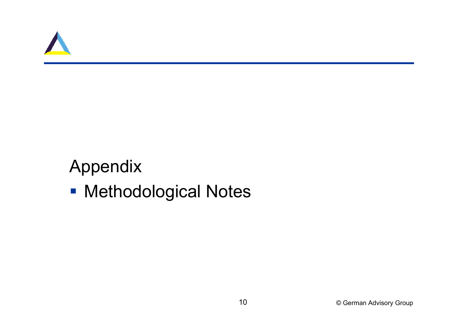

### Appendix

**- Methodological Notes**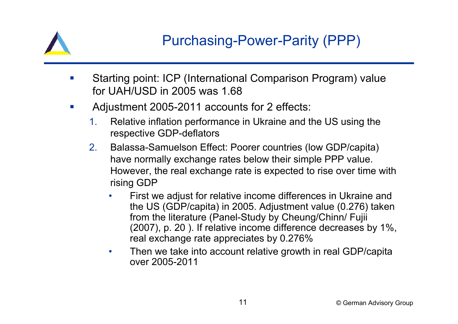

- $\overline{\phantom{a}}$  Starting point: ICP (International Comparison Program) value for UAH/USD in 2005 was 1.68
- $\mathcal{L}_{\mathcal{A}}$  Adjustment 2005-2011 accounts for 2 effects:
	- 1. Relative inflation performance in Ukraine and the US using the respective GDP-deflators
	- 2. Balassa-Samuelson Effect: Poorer countries (low GDP/capita) have normally exchange rates below their simple PPP value. However, the real exchange rate is expected to rise over time with rising GDP
		- • First we adjust for relative income differences in Ukraine and the US (GDP/capita) in 2005. Adjustment value (0.276) taken from the literature (Panel-Study by Cheung/Chinn/ Fujii (2007), p. 20 ). If relative income difference decreases by 1%, real exchange rate appreciates by 0.276%
		- • Then we take into account relative growth in real GDP/capita over 2005-2011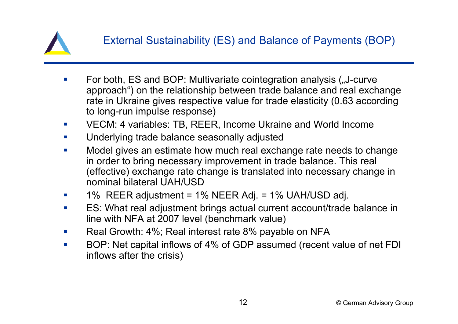

- П For both, ES and BOP: Multivariate cointegration analysis ("J-curve approach") on the relationship between trade balance and real exchange rate in Ukraine gives respective value for trade elasticity (0.63 according to long-run impulse response)
- $\mathcal{L}_{\mathcal{A}}$ VECM: 4 variables: TB, REER, Income Ukraine and World Income
- $\mathcal{L}_{\text{max}}$ Underlying trade balance seasonally adjusted
- $\mathcal{C}$  Model gives an estimate how much real exchange rate needs to change in order to bring necessary improvement in trade balance. This real (effective) exchange rate change is translated into necessary change in nominal bilateral UAH/USD
- П 1% REER adjustment = 1% NEER Adj. = 1% UAH/USD adj.
- m. ES: What real adjustment brings actual current account/trade balance in line with NFA at 2007 level (benchmark value)
- $\mathcal{L}_{\text{max}}$ Real Growth: 4%; Real interest rate 8% payable on NFA
- $\mathbf{r}$  BOP: Net capital inflows of 4% of GDP assumed (recent value of net FDI inflows after the crisis)